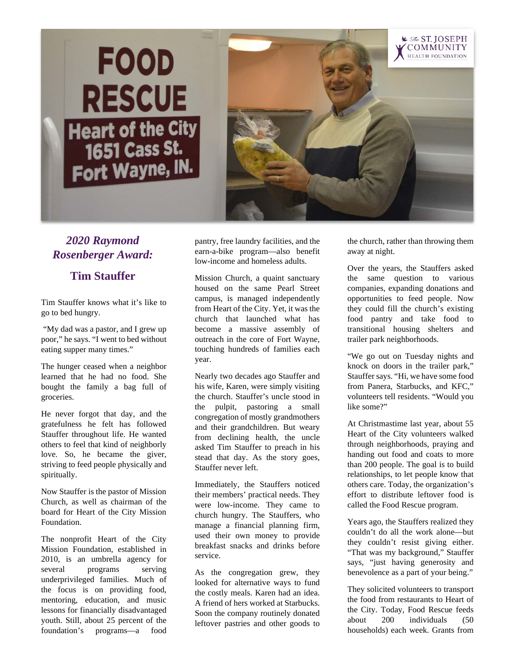



## *2020 Raymond Rosenberger Award:*

## **Tim Stauffer**

Tim Stauffer knows what it's like to go to bed hungry.

"My dad was a pastor, and I grew up poor," he says. "I went to bed without eating supper many times."

The hunger ceased when a neighbor learned that he had no food. She bought the family a bag full of groceries.

He never forgot that day, and the gratefulness he felt has followed Stauffer throughout life. He wanted others to feel that kind of neighborly love. So, he became the giver, striving to feed people physically and spiritually.

Now Stauffer is the pastor of Mission Church, as well as chairman of the board for Heart of the City Mission Foundation.

The nonprofit Heart of the City Mission Foundation, established in 2010, is an umbrella agency for several programs serving underprivileged families. Much of the focus is on providing food, mentoring, education, and music lessons for financially disadvantaged youth. Still, about 25 percent of the foundation's programs—a food

pantry, free laundry facilities, and the earn-a-bike program—also benefit low-income and homeless adults.

Mission Church, a quaint sanctuary housed on the same Pearl Street campus, is managed independently from Heart of the City. Yet, it was the church that launched what has become a massive assembly of outreach in the core of Fort Wayne, touching hundreds of families each year.

Nearly two decades ago Stauffer and his wife, Karen, were simply visiting the church. Stauffer's uncle stood in the pulpit, pastoring a small congregation of mostly grandmothers and their grandchildren. But weary from declining health, the uncle asked Tim Stauffer to preach in his stead that day. As the story goes, Stauffer never left.

Immediately, the Stauffers noticed their members' practical needs. They were low-income. They came to church hungry. The Stauffers, who manage a financial planning firm, used their own money to provide breakfast snacks and drinks before service.

As the congregation grew, they looked for alternative ways to fund the costly meals. Karen had an idea. A friend of hers worked at Starbucks. Soon the company routinely donated leftover pastries and other goods to the church, rather than throwing them away at night.

Over the years, the Stauffers asked the same question to various companies, expanding donations and opportunities to feed people. Now they could fill the church's existing food pantry and take food to transitional housing shelters and trailer park neighborhoods.

"We go out on Tuesday nights and knock on doors in the trailer park," Stauffer says. "Hi, we have some food from Panera, Starbucks, and KFC," volunteers tell residents. "Would you like some?"

At Christmastime last year, about 55 Heart of the City volunteers walked through neighborhoods, praying and handing out food and coats to more than 200 people. The goal is to build relationships, to let people know that others care. Today, the organization's effort to distribute leftover food is called the Food Rescue program.

Years ago, the Stauffers realized they couldn't do all the work alone—but they couldn't resist giving either. "That was my background," Stauffer says, "just having generosity and benevolence as a part of your being."

They solicited volunteers to transport the food from restaurants to Heart of the City. Today, Food Rescue feeds about 200 individuals (50 households) each week. Grants from